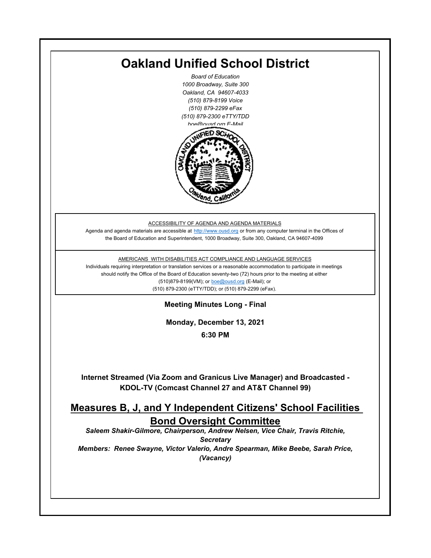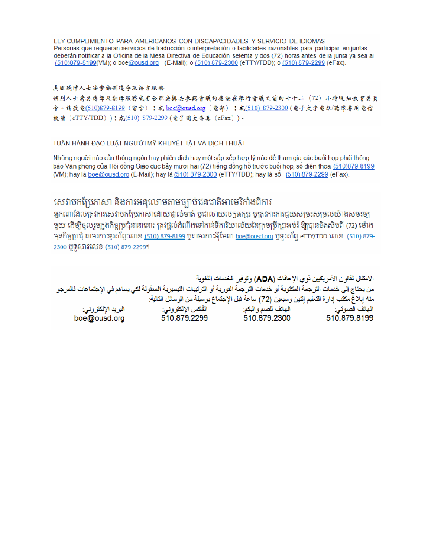LEY CUMPLIMIENTO PARA AMERICANOS CON DISCAPACIDADES Y SERVICIO DE IDIOMAS Personas que requieran servicios de traducción o interpretación o facilidades razonables para participar en juntas deberán notificar a la Oficina de la Mesa Directiva de Educación setenta y dos (72) horas antes de la junta ya sea al (510)879-8199(VM); o boe@ousd.org (E-Mail); o (510) 879-2300 (eTTY/TDD); o (510) 879-2299 (eFax).

#### 美国残障人士法案條例遵守及語言服務

個别人士需要傳譯及翻譯服務或有合理安排去參與會議的應該在舉行會議之前的七十二 (72) 小時通知教育委員 會。請致電(510)879-8199(留言);或 boe@ousd.org (電郵) ;或(510) 879-2300 (電子文字電話/聽障專用電信 設備 (eTTY/TDD));或(510)879-2299(電子圖文傳真 (eFax))。

#### TUÂN HÀNH ĐẠO LUẬT NGƯỜI MỸ KHUYẾT TẤT VÀ DỊCH THUẬT

Những người nào cần thông ngôn hay phiên dịch hay một sắp xếp hợp lý nào để tham gia các buổi họp phải thông báo Văn phòng của Hội đồng Giáo dục bảy mươi hai (72) tiếng đồng hồ trước buổi họp, số điện thoại (510)879-8199 (VM); hay là boe@ousd.org (E-Mail); hay là (510) 879-2300 (eTTY/TDD); hay là số (510) 879-2299 (eFax).

### សេវាបកប្រែភាសា និងការអនុលោមតាមច្បាប់ជនជាតិអាមេរិកាំងពិការ

អកណាដែលតេវការសេវាបកប្រែភាសាដោយផ្ទាល់មាត់ ឬជាលាយលក្ខអក្សរ ឬត្រូវការការជួយសម្រះសម្រលយ៉ាងសមរម្យ មយ ដើម្បីចលរមកងកិច្ចប្រជុំនានានោះ ត្រូវផ្តល់ដំណឹងទៅកាន់ទីការិយាល័យនៃក្រមប្រឹក្សាអប់រំ ឱ្យបានចិតសិបពី (72) ម៉ោង ម្មនកិច្ចប្រជុំ តាមរយៈទូរស័ព្ទ:លេខ (<u>510) 879-8199</u> បុតាមរយៈអ៊ីមែល <u>boe@ousd.org</u> បុទ្**រ**ស័ព្ទ eTTY/TDD លេខ (510) 879-2300 ប៊ូទ្មិសារលេខ (510) 879-2299។

الامتثال لقانون الأمريكيين نو ي الإعاقات (ADA) وتوفير الخدمات اللغوية من يحتاج إلى خدمات التر جمة المكتوبة أو خدمات التر جمة الفورية أو الترتيبات التيسيرية المعفّولة لكي يساهم في الإجتماعات فالمرجو منه إبلاغ مكتب إدارة التعليم إثنين وسبعين (72) ساعة قبل الإجتماع بوسيلة من الوسائل التالية: البريد الإلكتروني: 510.879.2299 boe@ousd.org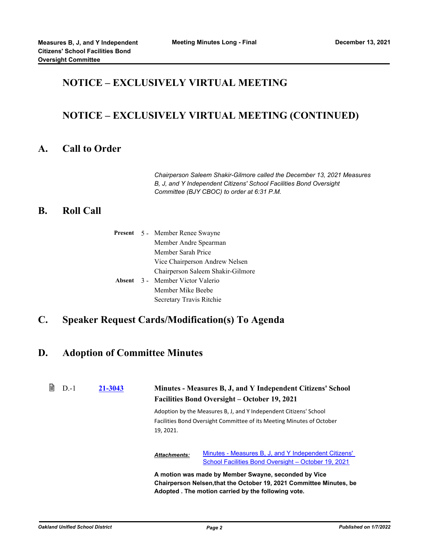## **NOTICE – EXCLUSIVELY VIRTUAL MEETING**

## **NOTICE – EXCLUSIVELY VIRTUAL MEETING (CONTINUED)**

#### **A. Call to Order**

*Chairperson Saleem Shakir-Gilmore called the December 13, 2021 Measures B, J, and Y Independent Citizens' School Facilities Bond Oversight Committee (BJY CBOC) to order at 6:31 P.M.*

#### **B. Roll Call**

|  | <b>Present</b> 5 - Member Renee Swayne |
|--|----------------------------------------|
|  | Member Andre Spearman                  |
|  | Member Sarah Price                     |
|  | Vice Chairperson Andrew Nelsen         |
|  | Chairperson Saleem Shakir-Gilmore      |
|  | Absent 3 - Member Victor Valerio       |
|  | Member Mike Beebe                      |
|  | Secretary Travis Ritchie               |

## **C. Speaker Request Cards/Modification(s) To Agenda**

### **D. Adoption of Committee Minutes**

| B<br>$D-1$ | 21-3043 |                     | Minutes - Measures B, J, and Y Independent Citizens' School<br><b>Facilities Bond Oversight – October 19, 2021</b>                                                                 |
|------------|---------|---------------------|------------------------------------------------------------------------------------------------------------------------------------------------------------------------------------|
|            |         | 19, 2021.           | Adoption by the Measures B, J, and Y Independent Citizens' School<br>Facilities Bond Oversight Committee of its Meeting Minutes of October                                         |
|            |         | <b>Attachments:</b> | Minutes - Measures B, J, and Y Independent Citizens'<br>School Facilities Bond Oversight - October 19, 2021                                                                        |
|            |         |                     | A motion was made by Member Swayne, seconded by Vice<br>Chairperson Nelsen, that the October 19, 2021 Committee Minutes, be<br>Adopted . The motion carried by the following vote. |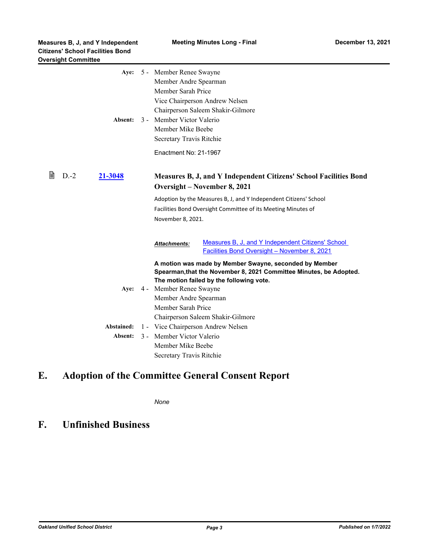| 5 - Member Renee Swayne<br>Member Andre Spearman<br>Member Sarah Price<br>Vice Chairperson Andrew Nelsen<br>Chairperson Saleem Shakir-Gilmore<br>3 - Member Victor Valerio<br>Member Mike Beebe<br>Secretary Travis Ritchie<br>Enactment No: 21-1967                                                                                                                                                                                                                                                                                           |
|------------------------------------------------------------------------------------------------------------------------------------------------------------------------------------------------------------------------------------------------------------------------------------------------------------------------------------------------------------------------------------------------------------------------------------------------------------------------------------------------------------------------------------------------|
| Measures B, J, and Y Independent Citizens' School Facilities Bond<br>Oversight – November 8, 2021<br>Adoption by the Measures B, J, and Y Independent Citizens' School<br>Facilities Bond Oversight Committee of its Meeting Minutes of<br>November 8, 2021.                                                                                                                                                                                                                                                                                   |
| Measures B, J, and Y Independent Citizens' School<br><b>Attachments:</b><br><b>Facilities Bond Oversight - November 8, 2021</b><br>A motion was made by Member Swayne, seconded by Member<br>Spearman, that the November 8, 2021 Committee Minutes, be Adopted.<br>The motion failed by the following vote.<br>4 - Member Renee Swayne<br>Member Andre Spearman<br>Member Sarah Price<br>Chairperson Saleem Shakir-Gilmore<br>1 - Vice Chairperson Andrew Nelsen<br>3 - Member Victor Valerio<br>Member Mike Beebe<br>Secretary Travis Ritchie |
|                                                                                                                                                                                                                                                                                                                                                                                                                                                                                                                                                |

# **E. Adoption of the Committee General Consent Report**

*None*

# **F. Unfinished Business**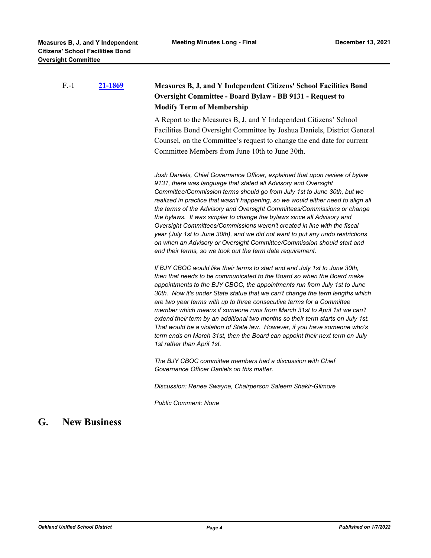|    | $F - 1$ | 21-1869             | Measures B, J, and Y Independent Citizens' School Facilities Bond<br>Oversight Committee - Board Bylaw - BB 9131 - Request to<br><b>Modify Term of Membership</b>                                                                                                                                                                                                                                                                                                                                                                                                                                                                                                                                                                                                                                                                                                                                                                                                                                                                                                                                                                                                                                                                                                                                                                                                                                                                                                                                   |
|----|---------|---------------------|-----------------------------------------------------------------------------------------------------------------------------------------------------------------------------------------------------------------------------------------------------------------------------------------------------------------------------------------------------------------------------------------------------------------------------------------------------------------------------------------------------------------------------------------------------------------------------------------------------------------------------------------------------------------------------------------------------------------------------------------------------------------------------------------------------------------------------------------------------------------------------------------------------------------------------------------------------------------------------------------------------------------------------------------------------------------------------------------------------------------------------------------------------------------------------------------------------------------------------------------------------------------------------------------------------------------------------------------------------------------------------------------------------------------------------------------------------------------------------------------------------|
|    |         |                     | A Report to the Measures B, J, and Y Independent Citizens' School<br>Facilities Bond Oversight Committee by Joshua Daniels, District General<br>Counsel, on the Committee's request to change the end date for current<br>Committee Members from June 10th to June 30th.                                                                                                                                                                                                                                                                                                                                                                                                                                                                                                                                                                                                                                                                                                                                                                                                                                                                                                                                                                                                                                                                                                                                                                                                                            |
|    |         |                     | Josh Daniels, Chief Governance Officer, explained that upon review of bylaw<br>9131, there was language that stated all Advisory and Oversight<br>Committee/Commission terms should go from July 1st to June 30th, but we<br>realized in practice that wasn't happening, so we would either need to align all<br>the terms of the Advisory and Oversight Committees/Commissions or change<br>the bylaws. It was simpler to change the bylaws since all Advisory and<br>Oversight Committees/Commissions weren't created in line with the fiscal<br>year (July 1st to June 30th), and we did not want to put any undo restrictions<br>on when an Advisory or Oversight Committee/Commission should start and<br>end their terms, so we took out the term date requirement.<br>If BJY CBOC would like their terms to start and end July 1st to June 30th,<br>then that needs to be communicated to the Board so when the Board make<br>appointments to the BJY CBOC, the appointments run from July 1st to June<br>30th. Now it's under State statue that we can't change the term lengths which<br>are two year terms with up to three consecutive terms for a Committee<br>member which means if someone runs from March 31st to April 1st we can't<br>extend their term by an additional two months so their term starts on July 1st.<br>That would be a violation of State law. However, if you have someone who's<br>term ends on March 31st, then the Board can appoint their next term on July |
|    |         |                     | 1st rather than April 1st.<br>The BJY CBOC committee members had a discussion with Chief<br>Governance Officer Daniels on this matter.                                                                                                                                                                                                                                                                                                                                                                                                                                                                                                                                                                                                                                                                                                                                                                                                                                                                                                                                                                                                                                                                                                                                                                                                                                                                                                                                                              |
|    |         |                     | Discussion: Renee Swayne, Chairperson Saleem Shakir-Gilmore                                                                                                                                                                                                                                                                                                                                                                                                                                                                                                                                                                                                                                                                                                                                                                                                                                                                                                                                                                                                                                                                                                                                                                                                                                                                                                                                                                                                                                         |
|    |         |                     | <b>Public Comment: None</b>                                                                                                                                                                                                                                                                                                                                                                                                                                                                                                                                                                                                                                                                                                                                                                                                                                                                                                                                                                                                                                                                                                                                                                                                                                                                                                                                                                                                                                                                         |
| G. |         | <b>New Business</b> |                                                                                                                                                                                                                                                                                                                                                                                                                                                                                                                                                                                                                                                                                                                                                                                                                                                                                                                                                                                                                                                                                                                                                                                                                                                                                                                                                                                                                                                                                                     |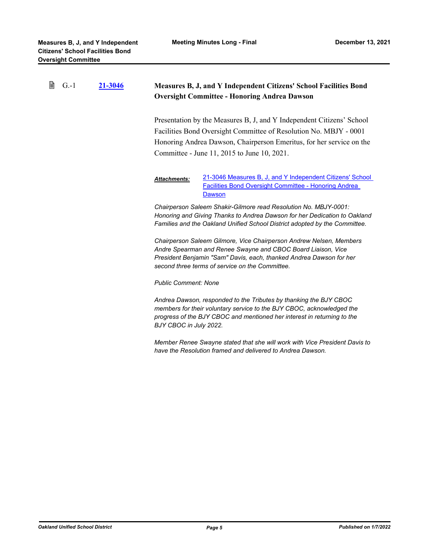| 閆<br>$G - 1$ | 21-3046 | Measures B, J, and Y Independent Citizens' School Facilities Bond<br><b>Oversight Committee - Honoring Andrea Dawson</b>                                                                                                                                          |
|--------------|---------|-------------------------------------------------------------------------------------------------------------------------------------------------------------------------------------------------------------------------------------------------------------------|
|              |         | Presentation by the Measures B, J, and Y Independent Citizens' School<br>Facilities Bond Oversight Committee of Resolution No. MBJY - 0001<br>Honoring Andrea Dawson, Chairperson Emeritus, for her service on the<br>Committee - June 11, 2015 to June 10, 2021. |
|              |         | 21-3046 Measures B, J, and Y Independent Citizens' School<br><b>Attachments:</b><br><b>Facilities Bond Oversight Committee - Honoring Andrea</b><br>Dawson                                                                                                        |
|              |         | Chairperson Saleem Shakir-Gilmore read Resolution No. MBJY-0001:<br>Honoring and Giving Thanks to Andrea Dawson for her Dedication to Oakland<br>Families and the Oakland Unified School District adopted by the Committee.                                       |
|              |         | Chairperson Saleem Gilmore, Vice Chairperson Andrew Nelsen, Members<br>Andre Spearman and Renee Swayne and CBOC Board Liaison, Vice<br>President Benjamin "Sam" Davis, each, thanked Andrea Dawson for her<br>second three terms of service on the Committee.     |
|              |         | <b>Public Comment: None</b>                                                                                                                                                                                                                                       |
|              |         | Andrea Dawson, responded to the Tributes by thanking the BJY CBOC<br>members for their voluntary service to the BJY CBOC, acknowledged the<br>progress of the BJY CBOC and mentioned her interest in returning to the<br>BJY CBOC in July 2022.                   |
|              |         | Member Renee Swayne stated that she will work with Vice President Davis to<br>have the Resolution framed and delivered to Andrea Dawson.                                                                                                                          |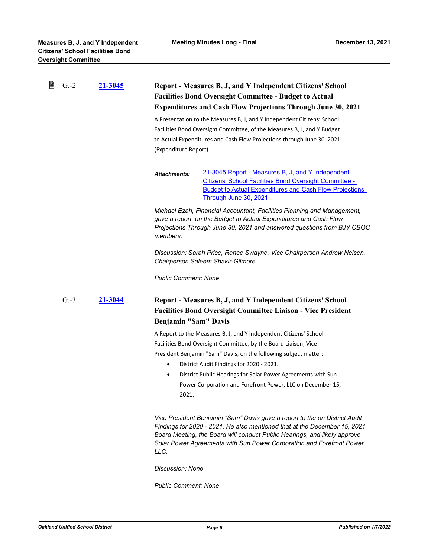| B | $G.-2$ | 21-3045 | <b>Report - Measures B, J, and Y Independent Citizens' School</b><br><b>Facilities Bond Oversight Committee - Budget to Actual</b><br><b>Expenditures and Cash Flow Projections Through June 30, 2021</b><br>A Presentation to the Measures B, J, and Y Independent Citizens' School<br>Facilities Bond Oversight Committee, of the Measures B, J, and Y Budget<br>to Actual Expenditures and Cash Flow Projections through June 30, 2021.<br>(Expenditure Report) |
|---|--------|---------|--------------------------------------------------------------------------------------------------------------------------------------------------------------------------------------------------------------------------------------------------------------------------------------------------------------------------------------------------------------------------------------------------------------------------------------------------------------------|
|   |        |         | 21-3045 Report - Measures B, J, and Y Independent<br><b>Attachments:</b><br>Citizens' School Facilities Bond Oversight Committee -<br><b>Budget to Actual Expenditures and Cash Flow Projections</b><br>Through June 30, 2021                                                                                                                                                                                                                                      |
|   |        |         | Michael Ezah, Financial Accountant, Facilities Planning and Management,<br>gave a report on the Budget to Actual Expenditures and Cash Flow<br>Projections Through June 30, 2021 and answered questions from BJY CBOC<br>members.                                                                                                                                                                                                                                  |
|   |        |         | Discussion: Sarah Price, Renee Swayne, Vice Chairperson Andrew Nelsen,<br><b>Chairperson Saleem Shakir-Gilmore</b>                                                                                                                                                                                                                                                                                                                                                 |
|   |        |         | <b>Public Comment: None</b>                                                                                                                                                                                                                                                                                                                                                                                                                                        |
|   | $G.-3$ | 21-3044 | Report - Measures B, J, and Y Independent Citizens' School<br><b>Facilities Bond Oversight Committee Liaison - Vice President</b><br>Benjamin "Sam" Davis                                                                                                                                                                                                                                                                                                          |
|   |        |         | A Report to the Measures B, J, and Y Independent Citizens' School<br>Facilities Bond Oversight Committee, by the Board Liaison, Vice<br>President Benjamin "Sam" Davis, on the following subject matter:<br>District Audit Findings for 2020 - 2021.<br>$\bullet$<br>District Public Hearings for Solar Power Agreements with Sun<br>$\bullet$<br>Power Corporation and Forefront Power, LLC on December 15,<br>2021.                                              |
|   |        |         | Vice President Benjamin "Sam" Davis gave a report to the on District Audit<br>Findings for 2020 - 2021. He also mentioned that at the December 15, 2021<br>Board Meeting, the Board will conduct Public Hearings, and likely approve<br>Solar Power Agreements with Sun Power Corporation and Forefront Power,                                                                                                                                                     |

*Discussion: None*

*LLC.*

*Public Comment: None*